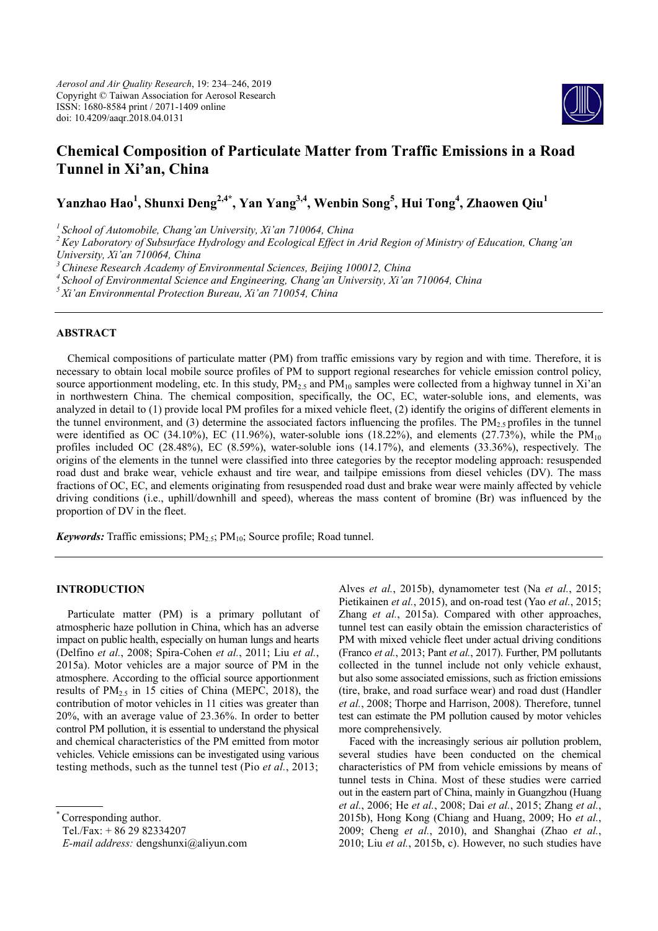

# **Chemical Composition of Particulate Matter from Traffic Emissions in a Road Tunnel in Xi'an, China**

**Yanzhao Hao<sup>1</sup> , Shunxi Deng2,4\*, Yan Yang3,4, Wenbin Song5 , Hui Tong4 , Zhaowen Qiu<sup>1</sup>**

*1 School of Automobile, Chang'an University, Xi'an 710064, China* 

*2 Key Laboratory of Subsurface Hydrology and Ecological Effect in Arid Region of Ministry of Education, Chang'an University, Xi'an 710064, China* 

*3 Chinese Research Academy of Environmental Sciences, Beijing 100012, China* 

*4 School of Environmental Science and Engineering, Chang'an University, Xi'an 710064, China* 

*5 Xi'an Environmental Protection Bureau, Xi'an 710054, China* 

# **ABSTRACT**

Chemical compositions of particulate matter (PM) from traffic emissions vary by region and with time. Therefore, it is necessary to obtain local mobile source profiles of PM to support regional researches for vehicle emission control policy, source apportionment modeling, etc. In this study,  $PM_2$ , and  $PM_{10}$  samples were collected from a highway tunnel in Xi'an in northwestern China. The chemical composition, specifically, the OC, EC, water-soluble ions, and elements, was analyzed in detail to (1) provide local PM profiles for a mixed vehicle fleet, (2) identify the origins of different elements in the tunnel environment, and (3) determine the associated factors influencing the profiles. The  $PM_2$ , profiles in the tunnel were identified as OC (34.10%), EC (11.96%), water-soluble ions (18.22%), and elements (27.73%), while the  $PM_{10}$ profiles included OC (28.48%), EC (8.59%), water-soluble ions (14.17%), and elements (33.36%), respectively. The origins of the elements in the tunnel were classified into three categories by the receptor modeling approach: resuspended road dust and brake wear, vehicle exhaust and tire wear, and tailpipe emissions from diesel vehicles (DV). The mass fractions of OC, EC, and elements originating from resuspended road dust and brake wear were mainly affected by vehicle driving conditions (i.e., uphill/downhill and speed), whereas the mass content of bromine (Br) was influenced by the proportion of DV in the fleet.

*Keywords:* Traffic emissions; PM<sub>2.5</sub>; PM<sub>10</sub>; Source profile; Road tunnel.

# **INTRODUCTION**

Particulate matter (PM) is a primary pollutant of atmospheric haze pollution in China, which has an adverse impact on public health, especially on human lungs and hearts (Delfino *et al.*, 2008; Spira-Cohen *et al.*, 2011; Liu *et al.*, 2015a). Motor vehicles are a major source of PM in the atmosphere. According to the official source apportionment results of  $PM_{2.5}$  in 15 cities of China (MEPC, 2018), the contribution of motor vehicles in 11 cities was greater than 20%, with an average value of 23.36%. In order to better control PM pollution, it is essential to understand the physical and chemical characteristics of the PM emitted from motor vehicles. Vehicle emissions can be investigated using various testing methods, such as the tunnel test (Pio *et al.*, 2013;

Tel./Fax: + 86 29 82334207

*E-mail address:* dengshunxi@aliyun.com

Alves *et al.*, 2015b), dynamometer test (Na *et al.*, 2015; Pietikainen *et al.*, 2015), and on-road test (Yao *et al.*, 2015; Zhang *et al.*, 2015a). Compared with other approaches, tunnel test can easily obtain the emission characteristics of PM with mixed vehicle fleet under actual driving conditions (Franco *et al.*, 2013; Pant *et al.*, 2017). Further, PM pollutants collected in the tunnel include not only vehicle exhaust, but also some associated emissions, such as friction emissions (tire, brake, and road surface wear) and road dust (Handler *et al.*, 2008; Thorpe and Harrison, 2008). Therefore, tunnel test can estimate the PM pollution caused by motor vehicles more comprehensively.

Faced with the increasingly serious air pollution problem, several studies have been conducted on the chemical characteristics of PM from vehicle emissions by means of tunnel tests in China. Most of these studies were carried out in the eastern part of China, mainly in Guangzhou (Huang *et al.*, 2006; He *et al.*, 2008; Dai *et al.*, 2015; Zhang *et al.*, 2015b), Hong Kong (Chiang and Huang, 2009; Ho *et al.*, 2009; Cheng *et al.*, 2010), and Shanghai (Zhao *et al.*, 2010; Liu *et al.*, 2015b, c). However, no such studies have

Corresponding author.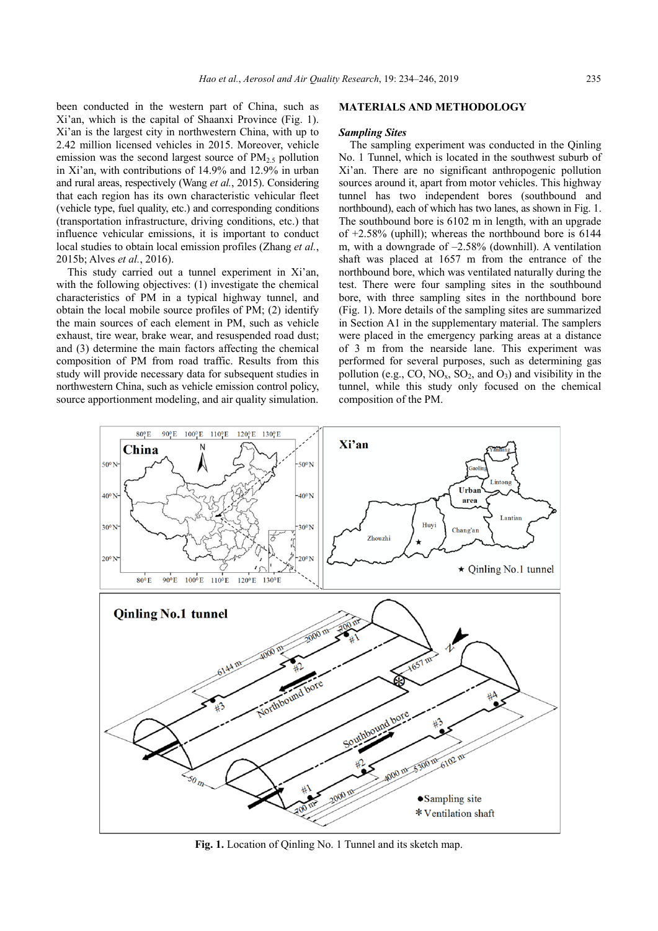been conducted in the western part of China, such as Xi'an, which is the capital of Shaanxi Province (Fig. 1). Xi'an is the largest city in northwestern China, with up to 2.42 million licensed vehicles in 2015. Moreover, vehicle emission was the second largest source of  $PM_{2.5}$  pollution in Xi'an, with contributions of 14.9% and 12.9% in urban and rural areas, respectively (Wang *et al.*, 2015). Considering that each region has its own characteristic vehicular fleet (vehicle type, fuel quality, etc.) and corresponding conditions (transportation infrastructure, driving conditions, etc.) that influence vehicular emissions, it is important to conduct local studies to obtain local emission profiles (Zhang *et al.*, 2015b; Alves *et al.*, 2016).

This study carried out a tunnel experiment in Xi'an, with the following objectives: (1) investigate the chemical characteristics of PM in a typical highway tunnel, and obtain the local mobile source profiles of PM; (2) identify the main sources of each element in PM, such as vehicle exhaust, tire wear, brake wear, and resuspended road dust; and (3) determine the main factors affecting the chemical composition of PM from road traffic. Results from this study will provide necessary data for subsequent studies in northwestern China, such as vehicle emission control policy, source apportionment modeling, and air quality simulation.

# **MATERIALS AND METHODOLOGY**

#### *Sampling Sites*

The sampling experiment was conducted in the Qinling No. 1 Tunnel, which is located in the southwest suburb of Xi'an. There are no significant anthropogenic pollution sources around it, apart from motor vehicles. This highway tunnel has two independent bores (southbound and northbound), each of which has two lanes, as shown in Fig. 1. The southbound bore is 6102 m in length, with an upgrade of +2.58% (uphill); whereas the northbound bore is 6144 m, with a downgrade of –2.58% (downhill). A ventilation shaft was placed at 1657 m from the entrance of the northbound bore, which was ventilated naturally during the test. There were four sampling sites in the southbound bore, with three sampling sites in the northbound bore (Fig. 1). More details of the sampling sites are summarized in Section A1 in the supplementary material. The samplers were placed in the emergency parking areas at a distance of 3 m from the nearside lane. This experiment was performed for several purposes, such as determining gas pollution (e.g., CO,  $NO<sub>x</sub>$ ,  $SO<sub>2</sub>$ , and  $O<sub>3</sub>$ ) and visibility in the tunnel, while this study only focused on the chemical composition of the PM.



**Fig. 1.** Location of Qinling No. 1 Tunnel and its sketch map.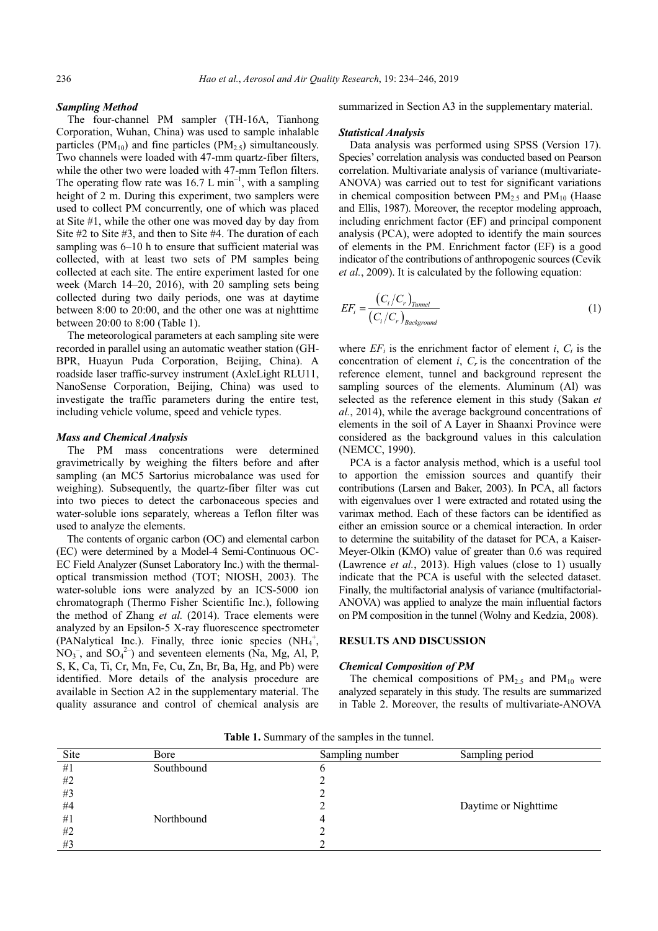# *Sampling Method*

The four-channel PM sampler (TH-16A, Tianhong Corporation, Wuhan, China) was used to sample inhalable particles ( $PM_{10}$ ) and fine particles ( $PM_{2.5}$ ) simultaneously. Two channels were loaded with 47-mm quartz-fiber filters, while the other two were loaded with 47-mm Teflon filters. The operating flow rate was  $16.7 \text{ L min}^{-1}$ , with a sampling height of 2 m. During this experiment, two samplers were used to collect PM concurrently, one of which was placed at Site #1, while the other one was moved day by day from Site #2 to Site #3, and then to Site #4. The duration of each sampling was 6–10 h to ensure that sufficient material was collected, with at least two sets of PM samples being collected at each site. The entire experiment lasted for one week (March 14–20, 2016), with 20 sampling sets being collected during two daily periods, one was at daytime between 8:00 to 20:00, and the other one was at nighttime between 20:00 to 8:00 (Table 1).

The meteorological parameters at each sampling site were recorded in parallel using an automatic weather station (GH-BPR, Huayun Puda Corporation, Beijing, China). A roadside laser traffic-survey instrument (AxleLight RLU11, NanoSense Corporation, Beijing, China) was used to investigate the traffic parameters during the entire test, including vehicle volume, speed and vehicle types.

# *Mass and Chemical Analysis*

The PM mass concentrations were determined gravimetrically by weighing the filters before and after sampling (an MC5 Sartorius microbalance was used for weighing). Subsequently, the quartz-fiber filter was cut into two pieces to detect the carbonaceous species and water-soluble ions separately, whereas a Teflon filter was used to analyze the elements.

The contents of organic carbon (OC) and elemental carbon (EC) were determined by a Model-4 Semi-Continuous OC-EC Field Analyzer (Sunset Laboratory Inc.) with the thermaloptical transmission method (TOT; NIOSH, 2003). The water-soluble ions were analyzed by an ICS-5000 ion chromatograph (Thermo Fisher Scientific Inc.), following the method of Zhang *et al.* (2014). Trace elements were analyzed by an Epsilon-5 X-ray fluorescence spectrometer (PANalytical Inc.). Finally, three ionic species  $(NH_4^+,$  $NO<sub>3</sub><sup>-</sup>$ , and  $SO<sub>4</sub><sup>2</sup>$ ) and seventeen elements (Na, Mg, Al, P, S, K, Ca, Ti, Cr, Mn, Fe, Cu, Zn, Br, Ba, Hg, and Pb) were identified. More details of the analysis procedure are available in Section A2 in the supplementary material. The quality assurance and control of chemical analysis are

summarized in Section A3 in the supplementary material.

#### *Statistical Analysis*

Data analysis was performed using SPSS (Version 17). Species' correlation analysis was conducted based on Pearson correlation. Multivariate analysis of variance (multivariate-ANOVA) was carried out to test for significant variations in chemical composition between  $PM<sub>2.5</sub>$  and  $PM<sub>10</sub>$  (Haase and Ellis, 1987). Moreover, the receptor modeling approach, including enrichment factor (EF) and principal component analysis (PCA), were adopted to identify the main sources of elements in the PM. Enrichment factor (EF) is a good indicator of the contributions of anthropogenic sources (Cevik *et al.*, 2009). It is calculated by the following equation:

$$
EF_i = \frac{(C_i/C_r)_{Tunnel}}{(C_i/C_r)_{Background}}
$$
\n(1)

where  $EF_i$  is the enrichment factor of element *i*,  $C_i$  is the concentration of element  $i$ ,  $C_r$  is the concentration of the reference element, tunnel and background represent the sampling sources of the elements. Aluminum (Al) was selected as the reference element in this study (Sakan *et al.*, 2014), while the average background concentrations of elements in the soil of A Layer in Shaanxi Province were considered as the background values in this calculation (NEMCC, 1990).

PCA is a factor analysis method, which is a useful tool to apportion the emission sources and quantify their contributions (Larsen and Baker, 2003). In PCA, all factors with eigenvalues over 1 were extracted and rotated using the varimax method. Each of these factors can be identified as either an emission source or a chemical interaction. In order to determine the suitability of the dataset for PCA, a Kaiser-Meyer-Olkin (KMO) value of greater than 0.6 was required (Lawrence *et al.*, 2013). High values (close to 1) usually indicate that the PCA is useful with the selected dataset. Finally, the multifactorial analysis of variance (multifactorial-ANOVA) was applied to analyze the main influential factors on PM composition in the tunnel (Wolny and Kedzia, 2008).

# **RESULTS AND DISCUSSION**

#### *Chemical Composition of PM*

The chemical compositions of  $PM_{2.5}$  and  $PM_{10}$  were analyzed separately in this study. The results are summarized in Table 2. Moreover, the results of multivariate-ANOVA

| Site | Bore       | Sampling number | Sampling period      |
|------|------------|-----------------|----------------------|
| #1   | Southbound |                 |                      |
| #2   |            |                 |                      |
| #3   |            |                 |                      |
| #4   |            |                 | Daytime or Nighttime |
| #1   | Northbound |                 |                      |
| #2   |            |                 |                      |
| #3   |            |                 |                      |

**Table 1.** Summary of the samples in the tunnel.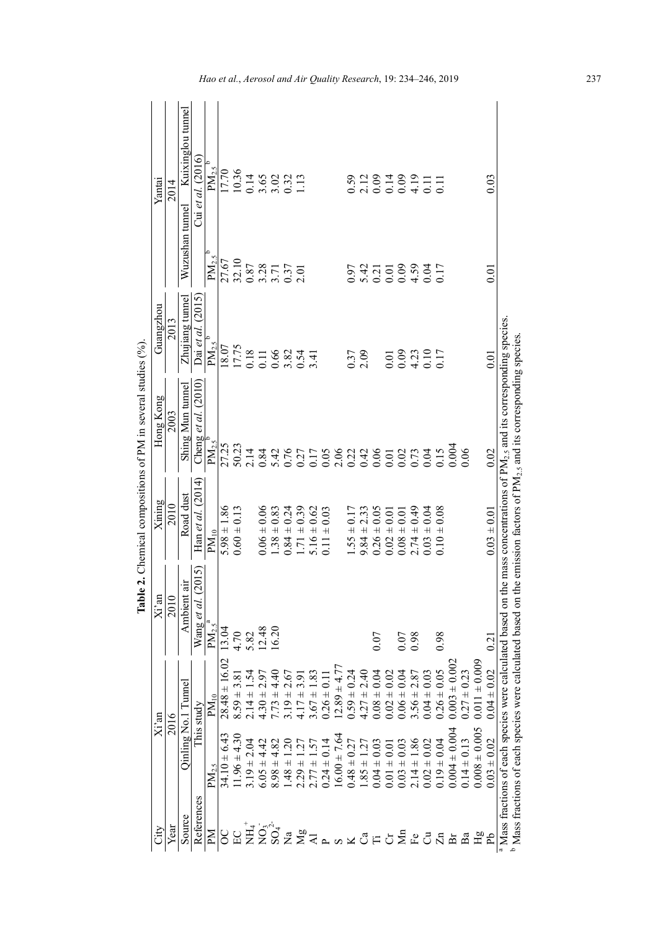|       | Yantai             | 2014               | Kuixinglou tunnel | Cui et al. $(2016)$   | $PM_{2.5}$ <sup>b</sup> |                   | 17.70<br>10.36  |                            | 0.14<br>3.65<br>3.02<br>0.32<br>1.13 |                                    |                 |                      |                 |                          |                 |                                                  |                      |                 | 5223489111<br>523489111 |                  |                        |                 |                   |                   |                   |                   | 0.03                                                                 |                                                                                                                                                |
|-------|--------------------|--------------------|-------------------|-----------------------|-------------------------|-------------------|-----------------|----------------------------|--------------------------------------|------------------------------------|-----------------|----------------------|-----------------|--------------------------|-----------------|--------------------------------------------------|----------------------|-----------------|-------------------------|------------------|------------------------|-----------------|-------------------|-------------------|-------------------|-------------------|----------------------------------------------------------------------|------------------------------------------------------------------------------------------------------------------------------------------------|
|       |                    |                    | Wuzushan tunnel   |                       |                         |                   |                 |                            |                                      |                                    |                 |                      |                 |                          |                 |                                                  |                      |                 |                         |                  |                        |                 |                   |                   |                   |                   |                                                                      |                                                                                                                                                |
|       |                    |                    |                   |                       | $PM_{2.5}$ <sup>b</sup> |                   | 27.67<br>32.10  |                            | $\frac{0.87}{3.28}$                  |                                    | 0.37            | 2.01                 |                 |                          |                 | 0.97                                             |                      |                 |                         |                  |                        |                 |                   |                   |                   |                   | $_{0.01}$                                                            |                                                                                                                                                |
|       | Guangzhou          | 2013               | Zhujiang tunnel   | Dai et al. (2015)     | $PM2.5$ <sup>b</sup>    | 18.07             | 17.75           |                            | $\frac{0.18}{0.11}$                  | 0.66                               |                 | $3.82$<br>0.54       | 3.41            |                          |                 | 0.37                                             | 2.09                 |                 | 0.01                    | 0.09             | $4.23$<br>0.10<br>0.17 |                 |                   |                   |                   |                   | 0.01                                                                 |                                                                                                                                                |
|       |                    |                    |                   |                       |                         |                   |                 |                            |                                      |                                    |                 |                      |                 |                          |                 |                                                  |                      |                 |                         |                  |                        |                 |                   |                   |                   |                   |                                                                      |                                                                                                                                                |
|       | Hong Kong          | 2003               | Shing Mun tunnel  | Cheng et al. $(2010)$ | $PM_{2.5}^{\circ}$      |                   | 27.25<br>50.23  | 2.14                       | 0.84                                 | 5.42                               | 0.76            |                      |                 |                          |                 |                                                  |                      |                 | 275882485823            |                  |                        |                 | 0.15              | 0.004             | 0.06              |                   | 0.02                                                                 |                                                                                                                                                |
|       | Xining             | 2010               | Road dust         | Han et al. $(2014)$   | $\mathrm{PM}_{10}$      | $5.98 \pm 1.86$   | $0.60 \pm 0.13$ |                            | 0.06<br>$0.06 \pm 0.0$               | $1.38 \pm 0.83$                    | $0.84 \pm 0.24$ | 0.39<br>$1.71 \pm 0$ | $5.16 \pm 0.62$ | 0.03<br>$0.11 \pm 0.001$ |                 | $1.55 \pm 0.1$                                   | 2.33<br>$9.84 \pm 2$ | $0.26 \pm 0.05$ | $0.02 \pm 0.01$         | $0.08 \pm 0.01$  | $2.74 \pm 0.49$        | $0.03 \pm 0.04$ | $0.10 \pm 0.08$   |                   |                   |                   | $0.03 \pm 0.01$                                                      | the mass concentrations of PM <sub>2.5</sub> and its corresponding species<br>the emission factors of $PM_{2.5}$ and its corresponding species |
|       |                    |                    | $\ddot{a}$        | (2015)                |                         |                   |                 |                            |                                      |                                    |                 |                      |                 |                          |                 |                                                  |                      |                 |                         |                  |                        |                 |                   |                   |                   |                   |                                                                      |                                                                                                                                                |
|       | $\overline{Xi}$ an | 2010               | Ambient           | Wang et al.           | $PM_{2.5}^{\text{a}}$   | 13.04             | 4.70            |                            | 5.82<br>12.48                        | 6.20                               |                 |                      |                 |                          |                 |                                                  |                      | 0.07            |                         |                  | 86.0                   |                 | 0.98              |                   |                   |                   | $\overline{021}$                                                     |                                                                                                                                                |
|       |                    | 2016               |                   | This study            | $PM_{10}$               | $28.48 \pm 16.02$ | $8.59 \pm 3.8$  | $2.14 \pm 1$               | $4.30 \pm 2.$                        | $7.73 \pm 4.40$<br>3.19 $\pm 2.67$ |                 | $17 + 3.91$          | $3.67 \pm 1$    | $0.26 \pm 0.1$           | $2.89 \pm 4.77$ | $0.59 \pm 0.24$                                  | $4.27 \pm 2.40$      | $0.08 \pm 0.04$ | $0.02 \pm 0.02$         | $0.06 \pm 0.04$  | $3.56 \pm 2.87$        | $0.04 \pm 0.03$ | $0.26 \pm 0.05$   | $0.003 \pm 0.002$ | $0.27 \pm 0.23$   | $0.011 \pm 0.009$ | $0.04 \pm 0.02$                                                      | <sup>a</sup> Mass fractions of each species were calculated based on                                                                           |
| Xi'an |                    | Qinling No.1 Tunne |                   | $PM_{2.5}$            | $34.10 \pm 6.43$        | $1.96 \pm 4.30$   | $3.19 \pm 2.04$ | $6.05 \pm 4.42$            | $8.98 \pm 4.82$                      | $1.48 \pm 1.20$                    | $2.29 \pm 1.27$ | $2.77 \pm 1.57$      | $0.24 \pm 0.1$  | $16.00 \pm 7.64$         | $0.48 \pm 0.27$ | $.85 \pm 1.27$                                   | $0.04 \pm 0.03$      | $0.01 \pm 0.01$ | $0.03 \pm 0.03$         | $2.14 \pm 1.86$  | $0.02 \pm 0.02$        | $0.19 \pm 0.04$ | $0.004 \pm 0.004$ | $0.14 \pm 0.13$   | $0.008 \pm 0.005$ | $0.03 \pm 0.02$   | <sup>b</sup> Mass fractions of each species were calculated based on |                                                                                                                                                |
|       | ČİV                | Year               | Source            | References            | $\mathbf{M}$            | SO                | EC              | $\rm \stackrel{+}{H1}^{+}$ |                                      | $NO_{4}^{2}$                       | $\overline{a}$  | $\frac{1}{2}$        |                 |                          |                 | $\mathbb{L} \times \mathbb{S} \times \mathbb{C}$ |                      |                 |                         | $\sum_{i=1}^{n}$ | $E_{\rm C}$            |                 | $\Xi$             | hī                | Ba                | ЯH                | Ъq                                                                   |                                                                                                                                                |

**Table 2.** Chemical compositions of PM in several studies (%). Table 2. Chemical compositions of PM in several studies (%). *Hao et al.*, *Aerosol and Air Quality Research*, 19: 234–246, 2019 237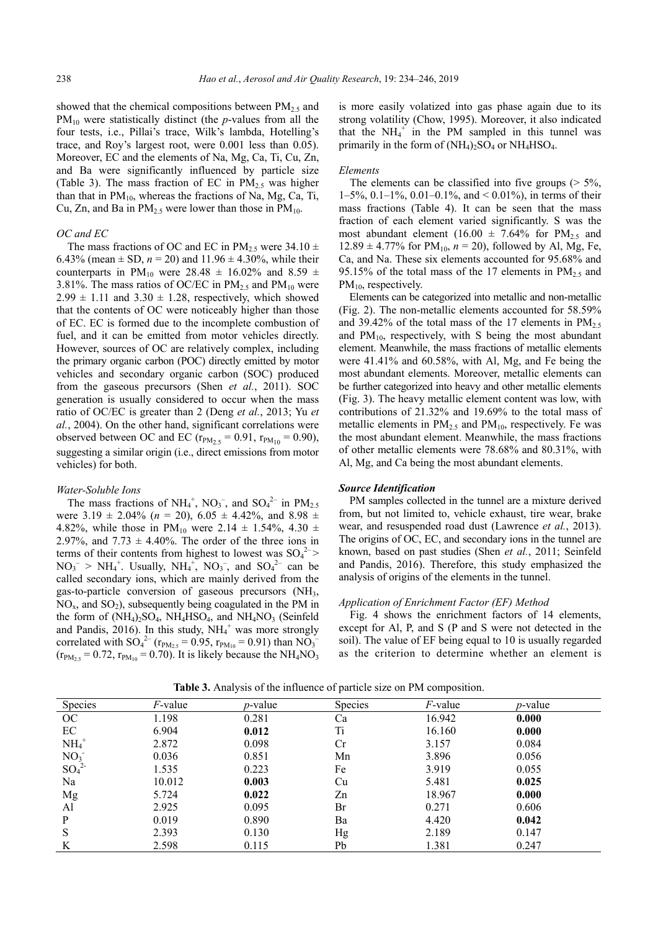showed that the chemical compositions between  $PM_{2.5}$  and PM<sub>10</sub> were statistically distinct (the *p*-values from all the four tests, i.e., Pillai's trace, Wilk's lambda, Hotelling's trace, and Roy's largest root, were 0.001 less than 0.05). Moreover, EC and the elements of Na, Mg, Ca, Ti, Cu, Zn, and Ba were significantly influenced by particle size (Table 3). The mass fraction of EC in  $PM_2$ , was higher than that in  $PM_{10}$ , whereas the fractions of Na, Mg, Ca, Ti, Cu, Zn, and Ba in  $PM_{2.5}$  were lower than those in  $PM_{10}$ .

#### *OC and EC*

The mass fractions of OC and EC in  $PM_{2.5}$  were 34.10  $\pm$ 6.43% (mean  $\pm$  SD,  $n = 20$ ) and 11.96  $\pm$  4.30%, while their counterparts in PM<sub>10</sub> were 28.48  $\pm$  16.02% and 8.59  $\pm$ 3.81%. The mass ratios of OC/EC in  $PM_{2.5}$  and  $PM_{10}$  were  $2.99 \pm 1.11$  and  $3.30 \pm 1.28$ , respectively, which showed that the contents of OC were noticeably higher than those of EC. EC is formed due to the incomplete combustion of fuel, and it can be emitted from motor vehicles directly. However, sources of OC are relatively complex, including the primary organic carbon (POC) directly emitted by motor vehicles and secondary organic carbon (SOC) produced from the gaseous precursors (Shen *et al.*, 2011). SOC generation is usually considered to occur when the mass ratio of OC/EC is greater than 2 (Deng *et al.*, 2013; Yu *et al.*, 2004). On the other hand, significant correlations were observed between OC and EC ( $r_{PM_{2.5}} = 0.91$ ,  $r_{PM_{10}} = 0.90$ ), suggesting a similar origin (i.e., direct emissions from motor vehicles) for both.

#### *Water-Soluble Ions*

The mass fractions of  $NH_4^+$ ,  $NO_3^-$ , and  $SO_4^{2-}$  in  $PM_{2.5}$ were  $3.19 \pm 2.04\%$  ( $n = 20$ ),  $6.05 \pm 4.42\%$ , and  $8.98 \pm 1.04\%$ 4.82%, while those in  $PM_{10}$  were 2.14  $\pm$  1.54%, 4.30  $\pm$ 2.97%, and  $7.73 \pm 4.40\%$ . The order of the three ions in terms of their contents from highest to lowest was  $SO_4^{2-}$  $NO_3^- > NH_4^+$ . Usually,  $NH_4^+$ ,  $NO_3^-$ , and  $SO_4^{2-}$  can be called secondary ions, which are mainly derived from the gas-to-particle conversion of gaseous precursors  $(NH<sub>3</sub>,$  $NO<sub>x</sub>$ , and  $SO<sub>2</sub>$ ), subsequently being coagulated in the PM in the form of  $(NH_4)$ <sub>2</sub>SO<sub>4</sub>,  $NH_4$ HSO<sub>4</sub>, and  $NH_4$ NO<sub>3</sub> (Seinfeld and Pandis,  $2016$ ). In this study,  $NH_4^+$  was more strongly correlated with  $SO_4^{2-}$  ( $r_{PM_{2.5}} = 0.95$ ,  $r_{PM_{10}} = 0.91$ ) than  $NO_3^{-}$  $(r_{PM_{2.5}} = 0.72, r_{PM_{10}} = 0.70)$ . It is likely because the NH<sub>4</sub>NO<sub>3</sub>

is more easily volatized into gas phase again due to its strong volatility (Chow, 1995). Moreover, it also indicated that the  $NH_4^+$  in the PM sampled in this tunnel was primarily in the form of  $(NH_4)_2SO_4$  or  $NH_4HSO_4$ .

#### *Elements*

The elements can be classified into five groups  $($  > 5 $\%$ , 1–5%, 0.1–1%, 0.01–0.1%, and < 0.01%), in terms of their mass fractions (Table 4). It can be seen that the mass fraction of each element varied significantly. S was the most abundant element (16.00  $\pm$  7.64% for PM<sub>2.5</sub> and  $12.89 \pm 4.77\%$  for PM<sub>10</sub>,  $n = 20$ ), followed by Al, Mg, Fe, Ca, and Na. These six elements accounted for 95.68% and 95.15% of the total mass of the 17 elements in  $PM_{2.5}$  and  $PM_{10}$ , respectively.

Elements can be categorized into metallic and non-metallic (Fig. 2). The non-metallic elements accounted for 58.59% and 39.42% of the total mass of the 17 elements in  $PM_2$ . and  $PM_{10}$ , respectively, with S being the most abundant element. Meanwhile, the mass fractions of metallic elements were 41.41% and 60.58%, with Al, Mg, and Fe being the most abundant elements. Moreover, metallic elements can be further categorized into heavy and other metallic elements (Fig. 3). The heavy metallic element content was low, with contributions of 21.32% and 19.69% to the total mass of metallic elements in  $PM_{2.5}$  and  $PM_{10}$ , respectively. Fe was the most abundant element. Meanwhile, the mass fractions of other metallic elements were 78.68% and 80.31%, with Al, Mg, and Ca being the most abundant elements.

#### *Source Identification*

PM samples collected in the tunnel are a mixture derived from, but not limited to, vehicle exhaust, tire wear, brake wear, and resuspended road dust (Lawrence *et al.*, 2013). The origins of OC, EC, and secondary ions in the tunnel are known, based on past studies (Shen *et al.*, 2011; Seinfeld and Pandis, 2016). Therefore, this study emphasized the analysis of origins of the elements in the tunnel.

# *Application of Enrichment Factor (EF) Method*

Fig. 4 shows the enrichment factors of 14 elements, except for Al, P, and S (P and S were not detected in the soil). The value of EF being equal to 10 is usually regarded as the criterion to determine whether an element is

| Species                      | <i>F</i> -value | <i>p</i> -value | <b>Species</b> | $F$ -value | <i>p</i> -value |
|------------------------------|-----------------|-----------------|----------------|------------|-----------------|
| OC                           | 1.198           | 0.281           | Ca             | 16.942     | 0.000           |
| EC                           | 6.904           | 0.012           | Ti             | 16.160     | 0.000           |
| $NH_4^+$                     | 2.872           | 0.098           | Cr             | 3.157      | 0.084           |
| NO <sub>3</sub>              | 0.036           | 0.851           | Mn             | 3.896      | 0.056           |
| SO <sub>4</sub> <sup>2</sup> | 1.535           | 0.223           | Fe             | 3.919      | 0.055           |
| Na                           | 10.012          | 0.003           | Cu             | 5.481      | 0.025           |
| Mg                           | 5.724           | 0.022           | Zn             | 18.967     | 0.000           |
| Al                           | 2.925           | 0.095           | Br             | 0.271      | 0.606           |
| P                            | 0.019           | 0.890           | Ba             | 4.420      | 0.042           |
| S                            | 2.393           | 0.130           | Hg             | 2.189      | 0.147           |
| K                            | 2.598           | 0.115           | Pb             | 1.381      | 0.247           |

**Table 3.** Analysis of the influence of particle size on PM composition.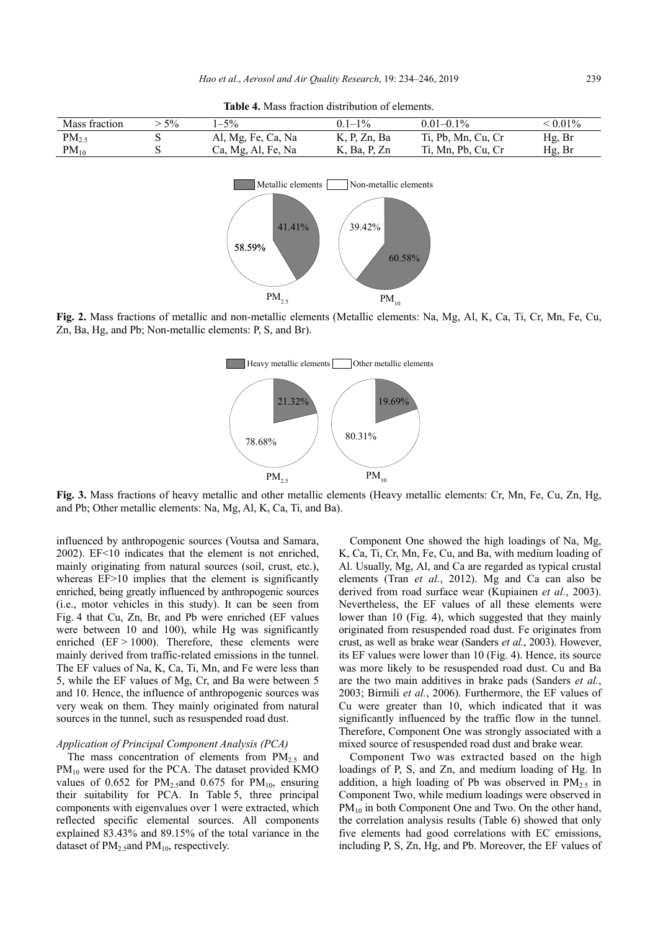**Table 4.** Mass fraction distribution of elements.

| Mass fraction | $5\%$ | $-5\%$             | $01-1\%$     | $0.01 - 0.1\%$     | $\leq 0.01\%$ |
|---------------|-------|--------------------|--------------|--------------------|---------------|
| $PM_{2.5}$    |       | Al, Mg, Fe, Ca, Na | K, P, Zn, Ba | Ti, Pb, Mn, Cu, Cr | Hg, Br        |
| $PM_{10}$     |       | Ca, Mg, Al, Fe, Na | K, Ba, P, Zn | Ti, Mn, Pb, Cu, Cr | Hg, Br        |



**Fig. 2.** Mass fractions of metallic and non-metallic elements (Metallic elements: Na, Mg, Al, K, Ca, Ti, Cr, Mn, Fe, Cu, Zn, Ba, Hg, and Pb; Non-metallic elements: P, S, and Br).



**Fig. 3.** Mass fractions of heavy metallic and other metallic elements (Heavy metallic elements: Cr, Mn, Fe, Cu, Zn, Hg, and Pb; Other metallic elements: Na, Mg, Al, K, Ca, Ti, and Ba).

influenced by anthropogenic sources (Voutsa and Samara, 2002). EF<10 indicates that the element is not enriched, mainly originating from natural sources (soil, crust, etc.), whereas EF>10 implies that the element is significantly enriched, being greatly influenced by anthropogenic sources (i.e., motor vehicles in this study). It can be seen from Fig. 4 that Cu, Zn, Br, and Pb were enriched (EF values were between 10 and 100), while Hg was significantly enriched  $(EF > 1000)$ . Therefore, these elements were mainly derived from traffic-related emissions in the tunnel. The EF values of Na, K, Ca, Ti, Mn, and Fe were less than 5, while the EF values of Mg, Cr, and Ba were between 5 and 10. Hence, the influence of anthropogenic sources was very weak on them. They mainly originated from natural sources in the tunnel, such as resuspended road dust.

# *Application of Principal Component Analysis (PCA)*

The mass concentration of elements from  $PM<sub>2.5</sub>$  and PM<sub>10</sub> were used for the PCA. The dataset provided KMO values of 0.652 for  $PM_{2.5}$ and 0.675 for  $PM_{10}$ , ensuring their suitability for PCA. In Table 5, three principal components with eigenvalues over 1 were extracted, which reflected specific elemental sources. All components explained 83.43% and 89.15% of the total variance in the dataset of  $PM_{2.5}$ and  $PM_{10}$ , respectively.

Component One showed the high loadings of Na, Mg, K, Ca, Ti, Cr, Mn, Fe, Cu, and Ba, with medium loading of Al. Usually, Mg, Al, and Ca are regarded as typical crustal elements (Tran *et al.*, 2012). Mg and Ca can also be derived from road surface wear (Kupiainen *et al.*, 2003). Nevertheless, the EF values of all these elements were lower than 10 (Fig. 4), which suggested that they mainly originated from resuspended road dust. Fe originates from crust, as well as brake wear (Sanders *et al.*, 2003). However, its EF values were lower than 10 (Fig. 4). Hence, its source was more likely to be resuspended road dust. Cu and Ba are the two main additives in brake pads (Sanders *et al.*, 2003; Birmili *et al.*, 2006). Furthermore, the EF values of Cu were greater than 10, which indicated that it was significantly influenced by the traffic flow in the tunnel. Therefore, Component One was strongly associated with a mixed source of resuspended road dust and brake wear.

Component Two was extracted based on the high loadings of P, S, and Zn, and medium loading of Hg. In addition, a high loading of Pb was observed in  $PM_{2.5}$  in Component Two, while medium loadings were observed in  $PM_{10}$  in both Component One and Two. On the other hand, the correlation analysis results (Table 6) showed that only five elements had good correlations with EC emissions, including P, S, Zn, Hg, and Pb. Moreover, the EF values of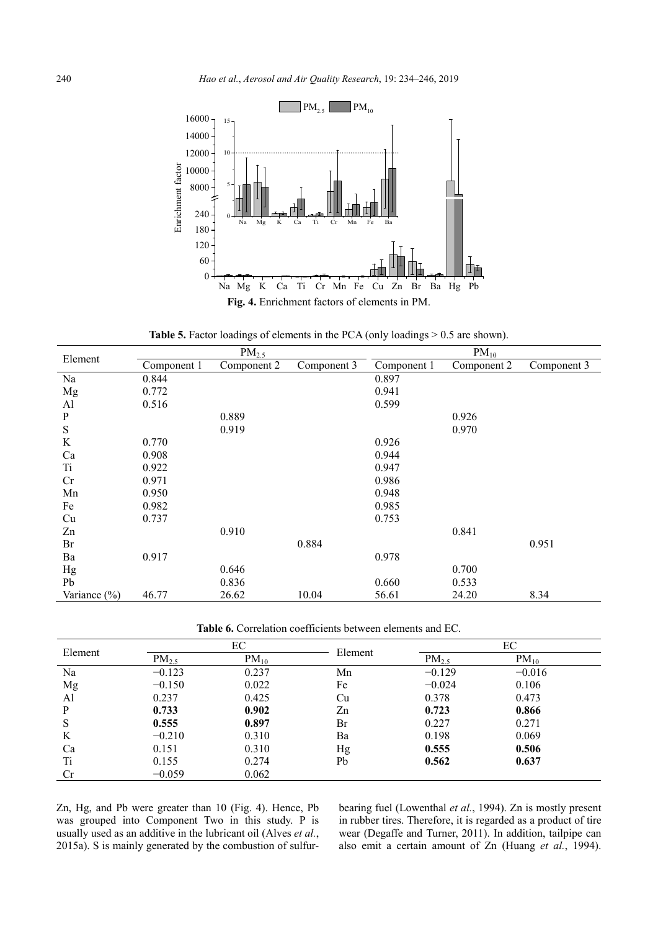

Table 5. Factor loadings of elements in the PCA (only loadings > 0.5 are shown).

| Element          |             | PM <sub>2.5</sub> |             | $PM_{10}$   |             |             |  |  |  |
|------------------|-------------|-------------------|-------------|-------------|-------------|-------------|--|--|--|
|                  | Component 1 | Component 2       | Component 3 | Component 1 | Component 2 | Component 3 |  |  |  |
| Na               | 0.844       |                   |             | 0.897       |             |             |  |  |  |
| Mg               | 0.772       |                   |             | 0.941       |             |             |  |  |  |
| Al               | 0.516       |                   |             | 0.599       |             |             |  |  |  |
| ${\bf P}$        |             | 0.889             |             |             | 0.926       |             |  |  |  |
| ${\bf S}$        |             | 0.919             |             |             | 0.970       |             |  |  |  |
| K                | 0.770       |                   |             | 0.926       |             |             |  |  |  |
| Ca               | 0.908       |                   |             | 0.944       |             |             |  |  |  |
| <b>Ti</b>        | 0.922       |                   |             | 0.947       |             |             |  |  |  |
| Cr               | 0.971       |                   |             | 0.986       |             |             |  |  |  |
| Mn               | 0.950       |                   |             | 0.948       |             |             |  |  |  |
| Fe               | 0.982       |                   |             | 0.985       |             |             |  |  |  |
| Cu               | 0.737       |                   |             | 0.753       |             |             |  |  |  |
| Zn               |             | 0.910             |             |             | 0.841       |             |  |  |  |
| Br               |             |                   | 0.884       |             |             | 0.951       |  |  |  |
| Ba               | 0.917       |                   |             | 0.978       |             |             |  |  |  |
| Hg               |             | 0.646             |             |             | 0.700       |             |  |  |  |
| Pb               |             | 0.836             |             | 0.660       | 0.533       |             |  |  |  |
| Variance $(\% )$ | 46.77       | 26.62             | 10.04       | 56.61       | 24.20       | 8.34        |  |  |  |

**Table 6.** Correlation coefficients between elements and EC.

| Element |            | EС        | Element |            | EС        |
|---------|------------|-----------|---------|------------|-----------|
|         | $PM_{2.5}$ | $PM_{10}$ |         | $PM_{2.5}$ | $PM_{10}$ |
| Na      | $-0.123$   | 0.237     | Mn      | $-0.129$   | $-0.016$  |
| Mg      | $-0.150$   | 0.022     | Fe      | $-0.024$   | 0.106     |
| Al      | 0.237      | 0.425     | Cu      | 0.378      | 0.473     |
| P       | 0.733      | 0.902     | Zn      | 0.723      | 0.866     |
| S       | 0.555      | 0.897     | Br      | 0.227      | 0.271     |
| K       | $-0.210$   | 0.310     | Ba      | 0.198      | 0.069     |
| Ca      | 0.151      | 0.310     | Hg      | 0.555      | 0.506     |
| Ti      | 0.155      | 0.274     | Pb      | 0.562      | 0.637     |
| Cr      | $-0.059$   | 0.062     |         |            |           |

Zn, Hg, and Pb were greater than 10 (Fig. 4). Hence, Pb was grouped into Component Two in this study. P is usually used as an additive in the lubricant oil (Alves *et al.*, 2015a). S is mainly generated by the combustion of sulfurbearing fuel (Lowenthal *et al.*, 1994). Zn is mostly present in rubber tires. Therefore, it is regarded as a product of tire wear (Degaffe and Turner, 2011). In addition, tailpipe can also emit a certain amount of Zn (Huang *et al.*, 1994).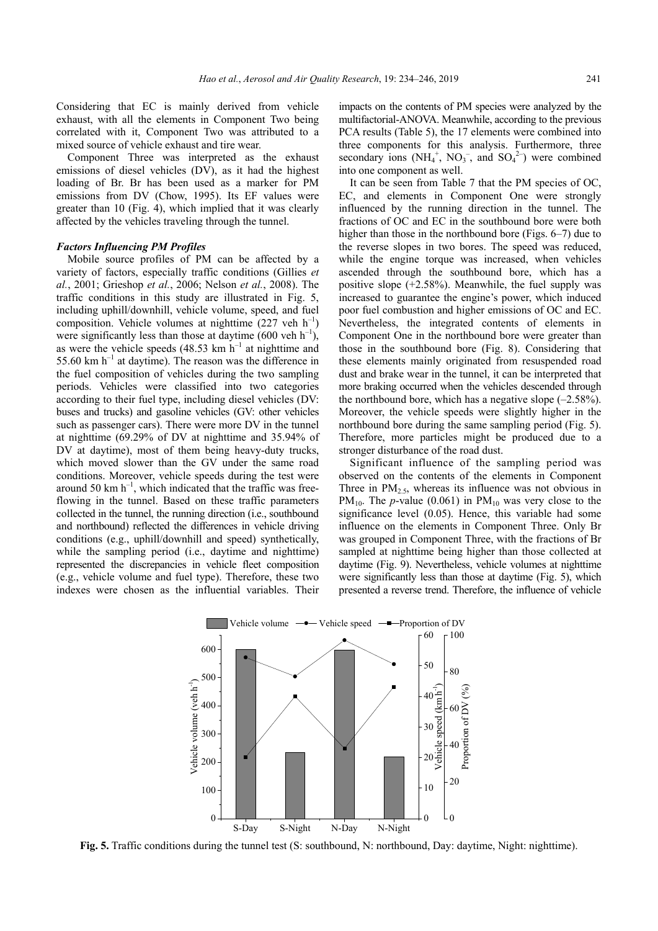Considering that EC is mainly derived from vehicle exhaust, with all the elements in Component Two being correlated with it, Component Two was attributed to a mixed source of vehicle exhaust and tire wear.

Component Three was interpreted as the exhaust emissions of diesel vehicles (DV), as it had the highest loading of Br. Br has been used as a marker for PM emissions from DV (Chow, 1995). Its EF values were greater than 10 (Fig. 4), which implied that it was clearly affected by the vehicles traveling through the tunnel.

## *Factors Influencing PM Profiles*

Mobile source profiles of PM can be affected by a variety of factors, especially traffic conditions (Gillies *et al.*, 2001; Grieshop *et al.*, 2006; Nelson *et al.*, 2008). The traffic conditions in this study are illustrated in Fig. 5, including uphill/downhill, vehicle volume, speed, and fuel composition. Vehicle volumes at nighttime  $(227 \text{ veh } h^{-1})$ were significantly less than those at daytime (600 veh  $h^{-1}$ ), as were the vehicle speeds  $(48.53 \text{ km h}^{-1})$  at nighttime and 55.60 km  $h^{-1}$  at daytime). The reason was the difference in the fuel composition of vehicles during the two sampling periods. Vehicles were classified into two categories according to their fuel type, including diesel vehicles (DV: buses and trucks) and gasoline vehicles (GV: other vehicles such as passenger cars). There were more DV in the tunnel at nighttime (69.29% of DV at nighttime and 35.94% of DV at daytime), most of them being heavy-duty trucks, which moved slower than the GV under the same road conditions. Moreover, vehicle speeds during the test were around 50 km  $h^{-1}$ , which indicated that the traffic was freeflowing in the tunnel. Based on these traffic parameters collected in the tunnel, the running direction (i.e., southbound and northbound) reflected the differences in vehicle driving conditions (e.g., uphill/downhill and speed) synthetically, while the sampling period (i.e., daytime and nighttime) represented the discrepancies in vehicle fleet composition (e.g., vehicle volume and fuel type). Therefore, these two indexes were chosen as the influential variables. Their

impacts on the contents of PM species were analyzed by the multifactorial-ANOVA. Meanwhile, according to the previous PCA results (Table 5), the 17 elements were combined into three components for this analysis. Furthermore, three secondary ions  $(NH_4^+, NO_3^-,$  and  $SO_4^2$ ) were combined into one component as well.

It can be seen from Table 7 that the PM species of OC, EC, and elements in Component One were strongly influenced by the running direction in the tunnel. The fractions of OC and EC in the southbound bore were both higher than those in the northbound bore (Figs. 6–7) due to the reverse slopes in two bores. The speed was reduced, while the engine torque was increased, when vehicles ascended through the southbound bore, which has a positive slope (+2.58%). Meanwhile, the fuel supply was increased to guarantee the engine's power, which induced poor fuel combustion and higher emissions of OC and EC. Nevertheless, the integrated contents of elements in Component One in the northbound bore were greater than those in the southbound bore (Fig. 8). Considering that these elements mainly originated from resuspended road dust and brake wear in the tunnel, it can be interpreted that more braking occurred when the vehicles descended through the northbound bore, which has a negative slope  $(-2.58\%)$ . Moreover, the vehicle speeds were slightly higher in the northbound bore during the same sampling period (Fig. 5). Therefore, more particles might be produced due to a stronger disturbance of the road dust.

Significant influence of the sampling period was observed on the contents of the elements in Component Three in  $PM<sub>2.5</sub>$ , whereas its influence was not obvious in PM<sub>10</sub>. The *p*-value (0.061) in PM<sub>10</sub> was very close to the significance level (0.05). Hence, this variable had some influence on the elements in Component Three. Only Br was grouped in Component Three, with the fractions of Br sampled at nighttime being higher than those collected at daytime (Fig. 9). Nevertheless, vehicle volumes at nighttime were significantly less than those at daytime (Fig. 5), which presented a reverse trend. Therefore, the influence of vehicle



**Fig. 5.** Traffic conditions during the tunnel test (S: southbound, N: northbound, Day: daytime, Night: nighttime).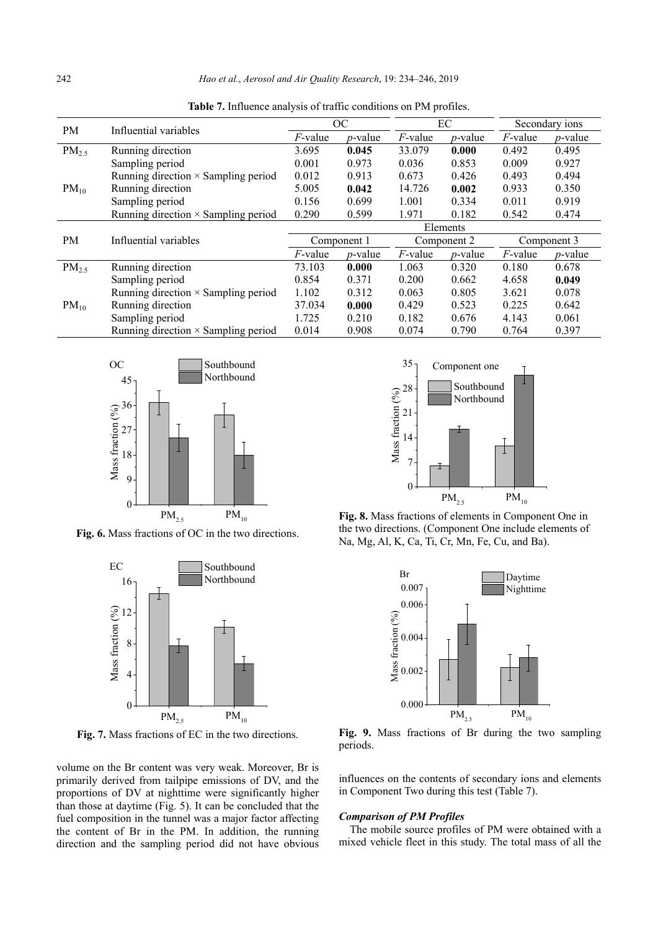| <b>PM</b>  | Influential variables                      |            | OC          |            | EC              | Secondary ions |                 |  |  |  |
|------------|--------------------------------------------|------------|-------------|------------|-----------------|----------------|-----------------|--|--|--|
|            |                                            | $F$ -value | $p$ -value  | $F$ -value | <i>p</i> -value | $F$ -value     | <i>p</i> -value |  |  |  |
| $PM_{2.5}$ | Running direction                          | 3.695      | 0.045       | 33.079     | 0.000           | 0.492          | 0.495           |  |  |  |
|            | Sampling period                            | 0.001      | 0.973       | 0.036      | 0.853           | 0.009          | 0.927           |  |  |  |
|            | Running direction $\times$ Sampling period | 0.012      | 0.913       | 0.673      | 0.426           | 0.493          | 0.494           |  |  |  |
| $PM_{10}$  | Running direction                          | 5.005      | 0.042       | 14.726     | 0.002           | 0.933          | 0.350           |  |  |  |
|            | Sampling period                            | 0.156      | 0.699       | 1.001      | 0.334           | 0.011          | 0.919           |  |  |  |
|            | Running direction × Sampling period        | 0.290      | 0.599       | 1.971      | 0.182           | 0.542          | 0.474           |  |  |  |
|            |                                            | Elements   |             |            |                 |                |                 |  |  |  |
| PM         | Influential variables                      |            | Component 1 |            | Component 2     |                | Component 3     |  |  |  |
|            |                                            | $F$ -value | $p$ -value  | $F$ -value | $p$ -value      | $F$ -value     | $p$ -value      |  |  |  |
| $PM_{2.5}$ | Running direction                          | 73.103     | 0.000       | 1.063      | 0.320           | 0.180          | 0.678           |  |  |  |
|            | Sampling period                            | 0.854      | 0.371       | 0.200      | 0.662           | 4.658          | 0.049           |  |  |  |
|            | Running direction $\times$ Sampling period | 1.102      | 0.312       | 0.063      | 0.805           | 3.621          | 0.078           |  |  |  |
| $PM_{10}$  | Running direction                          | 37.034     | 0.000       | 0.429      | 0.523           | 0.225          | 0.642           |  |  |  |
|            | Sampling period                            | 1.725      | 0.210       | 0.182      | 0.676           | 4.143          | 0.061           |  |  |  |
|            | Running direction $\times$ Sampling period | 0.014      | 0.908       | 0.074      | 0.790           | 0.764          | 0.397           |  |  |  |

**Table 7.** Influence analysis of traffic conditions on PM profiles.



**Fig. 6.** Mass fractions of OC in the two directions.



**Fig. 7.** Mass fractions of EC in the two directions.

volume on the Br content was very weak. Moreover, Br is primarily derived from tailpipe emissions of DV, and the proportions of DV at nighttime were significantly higher than those at daytime (Fig. 5). It can be concluded that the fuel composition in the tunnel was a major factor affecting the content of Br in the PM. In addition, the running direction and the sampling period did not have obvious



**Fig. 8.** Mass fractions of elements in Component One in the two directions. (Component One include elements of Na, Mg, Al, K, Ca, Ti, Cr, Mn, Fe, Cu, and Ba).



**Fig. 9.** Mass fractions of Br during the two sampling periods.

influences on the contents of secondary ions and elements in Component Two during this test (Table 7).

# *Comparison of PM Profiles*

The mobile source profiles of PM were obtained with a mixed vehicle fleet in this study. The total mass of all the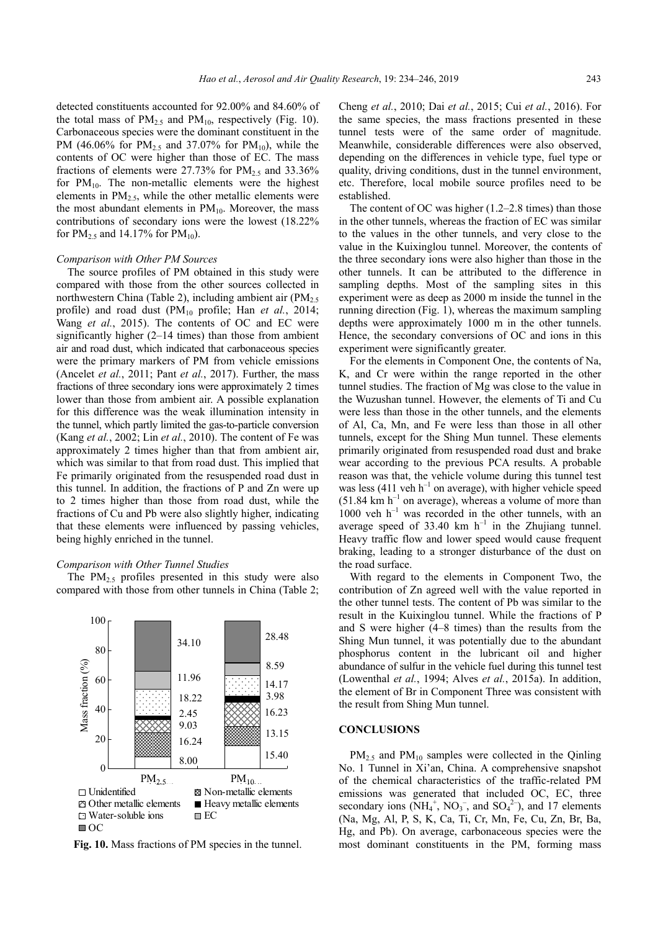detected constituents accounted for 92.00% and 84.60% of the total mass of  $PM_{2.5}$  and  $PM_{10}$ , respectively (Fig. 10). Carbonaceous species were the dominant constituent in the PM (46.06% for PM<sub>2.5</sub> and 37.07% for PM<sub>10</sub>), while the contents of OC were higher than those of EC. The mass fractions of elements were  $27.73\%$  for  $PM_{2.5}$  and  $33.36\%$ for  $PM_{10}$ . The non-metallic elements were the highest elements in  $PM<sub>2.5</sub>$ , while the other metallic elements were the most abundant elements in  $PM_{10}$ . Moreover, the mass contributions of secondary ions were the lowest (18.22% for  $PM_{2.5}$  and 14.17% for  $PM_{10}$ ).

# *Comparison with Other PM Sources*

The source profiles of PM obtained in this study were compared with those from the other sources collected in northwestern China (Table 2), including ambient air  $(PM<sub>2.5</sub>)$ profile) and road dust (PM<sub>10</sub> profile; Han *et al.*, 2014; Wang *et al.*, 2015). The contents of OC and EC were significantly higher (2–14 times) than those from ambient air and road dust, which indicated that carbonaceous species were the primary markers of PM from vehicle emissions (Ancelet *et al.*, 2011; Pant *et al.*, 2017). Further, the mass fractions of three secondary ions were approximately 2 times lower than those from ambient air. A possible explanation for this difference was the weak illumination intensity in the tunnel, which partly limited the gas-to-particle conversion (Kang *et al.*, 2002; Lin *et al.*, 2010). The content of Fe was approximately 2 times higher than that from ambient air, which was similar to that from road dust. This implied that Fe primarily originated from the resuspended road dust in this tunnel. In addition, the fractions of P and Zn were up to 2 times higher than those from road dust, while the fractions of Cu and Pb were also slightly higher, indicating that these elements were influenced by passing vehicles, being highly enriched in the tunnel.

# *Comparison with Other Tunnel Studies*

The  $PM_2$ , profiles presented in this study were also compared with those from other tunnels in China (Table 2;



**Fig. 10.** Mass fractions of PM species in the tunnel.

Cheng *et al.*, 2010; Dai *et al.*, 2015; Cui *et al.*, 2016). For the same species, the mass fractions presented in these tunnel tests were of the same order of magnitude. Meanwhile, considerable differences were also observed, depending on the differences in vehicle type, fuel type or quality, driving conditions, dust in the tunnel environment, etc. Therefore, local mobile source profiles need to be established.

The content of OC was higher (1.2–2.8 times) than those in the other tunnels, whereas the fraction of EC was similar to the values in the other tunnels, and very close to the value in the Kuixinglou tunnel. Moreover, the contents of the three secondary ions were also higher than those in the other tunnels. It can be attributed to the difference in sampling depths. Most of the sampling sites in this experiment were as deep as 2000 m inside the tunnel in the running direction (Fig. 1), whereas the maximum sampling depths were approximately 1000 m in the other tunnels. Hence, the secondary conversions of OC and ions in this experiment were significantly greater.

For the elements in Component One, the contents of Na, K, and Cr were within the range reported in the other tunnel studies. The fraction of Mg was close to the value in the Wuzushan tunnel. However, the elements of Ti and Cu were less than those in the other tunnels, and the elements of Al, Ca, Mn, and Fe were less than those in all other tunnels, except for the Shing Mun tunnel. These elements primarily originated from resuspended road dust and brake wear according to the previous PCA results. A probable reason was that, the vehicle volume during this tunnel test was less (411 veh  $h^{-1}$  on average), with higher vehicle speed  $(51.84 \text{ km h}^{-1})$  on average), whereas a volume of more than  $1000$  veh h<sup>-1</sup> was recorded in the other tunnels, with an average speed of 33.40 km  $h^{-1}$  in the Zhujiang tunnel. Heavy traffic flow and lower speed would cause frequent braking, leading to a stronger disturbance of the dust on the road surface.

With regard to the elements in Component Two, the contribution of Zn agreed well with the value reported in the other tunnel tests. The content of Pb was similar to the result in the Kuixinglou tunnel. While the fractions of P and S were higher (4–8 times) than the results from the Shing Mun tunnel, it was potentially due to the abundant phosphorus content in the lubricant oil and higher abundance of sulfur in the vehicle fuel during this tunnel test (Lowenthal *et al.*, 1994; Alves *et al.*, 2015a). In addition, the element of Br in Component Three was consistent with the result from Shing Mun tunnel.

#### **CONCLUSIONS**

 $PM_{2.5}$  and  $PM_{10}$  samples were collected in the Qinling No. 1 Tunnel in Xi'an, China. A comprehensive snapshot of the chemical characteristics of the traffic-related PM emissions was generated that included OC, EC, three secondary ions  $(NH_4^+, NO_3^-)$ , and  $SO_4^2$ ), and 17 elements (Na, Mg, Al, P, S, K, Ca, Ti, Cr, Mn, Fe, Cu, Zn, Br, Ba, Hg, and Pb). On average, carbonaceous species were the most dominant constituents in the PM, forming mass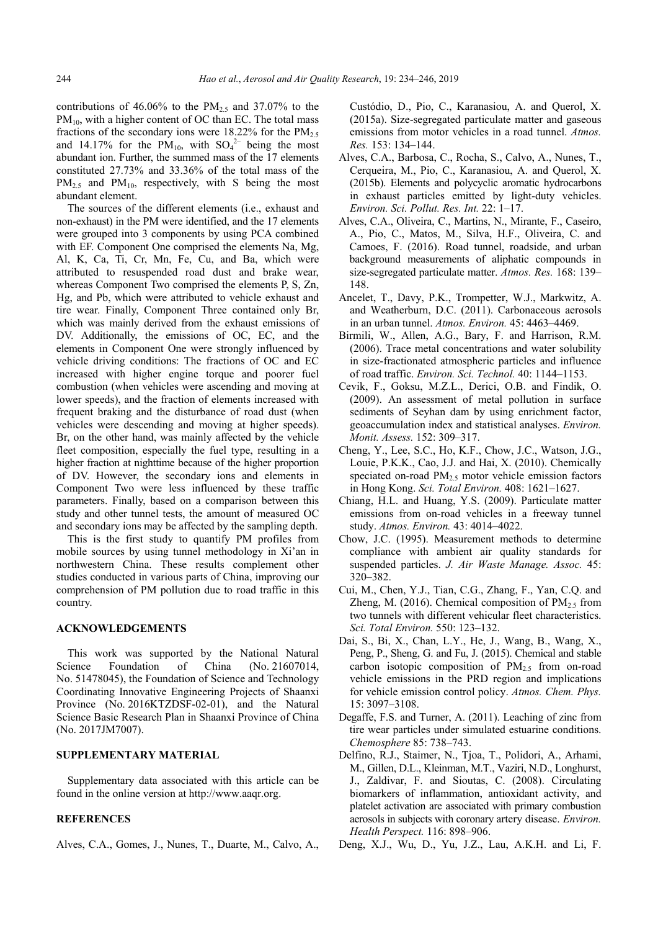contributions of 46.06% to the  $PM_{2.5}$  and 37.07% to the  $PM_{10}$ , with a higher content of OC than EC. The total mass fractions of the secondary ions were 18.22% for the  $PM_{2.5}$ and 14.17% for the  $PM_{10}$ , with  $SO_4^{2-}$  being the most abundant ion. Further, the summed mass of the 17 elements constituted 27.73% and 33.36% of the total mass of the  $PM_{2.5}$  and  $PM_{10}$ , respectively, with S being the most abundant element.

The sources of the different elements (i.e., exhaust and non-exhaust) in the PM were identified, and the 17 elements were grouped into 3 components by using PCA combined with EF. Component One comprised the elements Na, Mg, Al, K, Ca, Ti, Cr, Mn, Fe, Cu, and Ba, which were attributed to resuspended road dust and brake wear, whereas Component Two comprised the elements P, S, Zn, Hg, and Pb, which were attributed to vehicle exhaust and tire wear. Finally, Component Three contained only Br, which was mainly derived from the exhaust emissions of DV. Additionally, the emissions of OC, EC, and the elements in Component One were strongly influenced by vehicle driving conditions: The fractions of OC and EC increased with higher engine torque and poorer fuel combustion (when vehicles were ascending and moving at lower speeds), and the fraction of elements increased with frequent braking and the disturbance of road dust (when vehicles were descending and moving at higher speeds). Br, on the other hand, was mainly affected by the vehicle fleet composition, especially the fuel type, resulting in a higher fraction at nighttime because of the higher proportion of DV. However, the secondary ions and elements in Component Two were less influenced by these traffic parameters. Finally, based on a comparison between this study and other tunnel tests, the amount of measured OC and secondary ions may be affected by the sampling depth.

This is the first study to quantify PM profiles from mobile sources by using tunnel methodology in Xi'an in northwestern China. These results complement other studies conducted in various parts of China, improving our comprehension of PM pollution due to road traffic in this country.

# **ACKNOWLEDGEMENTS**

This work was supported by the National Natural Science Foundation of China (No. 21607014, No. 51478045), the Foundation of Science and Technology Coordinating Innovative Engineering Projects of Shaanxi Province (No. 2016KTZDSF-02-01), and the Natural Science Basic Research Plan in Shaanxi Province of China (No. 2017JM7007).

# **SUPPLEMENTARY MATERIAL**

Supplementary data associated with this article can be found in the online version at http://www.aaqr.org.

# **REFERENCES**

Alves, C.A., Gomes, J., Nunes, T., Duarte, M., Calvo, A.,

Custódio, D., Pio, C., Karanasiou, A. and Querol, X. (2015a). Size-segregated particulate matter and gaseous emissions from motor vehicles in a road tunnel. *Atmos. Res.* 153: 134–144.

- Alves, C.A., Barbosa, C., Rocha, S., Calvo, A., Nunes, T., Cerqueira, M., Pio, C., Karanasiou, A. and Querol, X. (2015b). Elements and polycyclic aromatic hydrocarbons in exhaust particles emitted by light-duty vehicles. *Environ. Sci. Pollut. Res. Int.* 22: 1–17.
- Alves, C.A., Oliveira, C., Martins, N., Mirante, F., Caseiro, A., Pio, C., Matos, M., Silva, H.F., Oliveira, C. and Camoes, F. (2016). Road tunnel, roadside, and urban background measurements of aliphatic compounds in size-segregated particulate matter. *Atmos. Res.* 168: 139– 148.
- Ancelet, T., Davy, P.K., Trompetter, W.J., Markwitz, A. and Weatherburn, D.C. (2011). Carbonaceous aerosols in an urban tunnel. *Atmos. Environ.* 45: 4463–4469.
- Birmili, W., Allen, A.G., Bary, F. and Harrison, R.M. (2006). Trace metal concentrations and water solubility in size-fractionated atmospheric particles and influence of road traffic. *Environ. Sci. Technol.* 40: 1144–1153.
- Cevik, F., Goksu, M.Z.L., Derici, O.B. and Findik, O. (2009). An assessment of metal pollution in surface sediments of Seyhan dam by using enrichment factor, geoaccumulation index and statistical analyses. *Environ. Monit. Assess.* 152: 309–317.
- Cheng, Y., Lee, S.C., Ho, K.F., Chow, J.C., Watson, J.G., Louie, P.K.K., Cao, J.J. and Hai, X. (2010). Chemically speciated on-road  $PM_{2.5}$  motor vehicle emission factors in Hong Kong. *Sci. Total Environ.* 408: 1621–1627.
- Chiang, H.L. and Huang, Y.S. (2009). Particulate matter emissions from on-road vehicles in a freeway tunnel study. *Atmos. Environ.* 43: 4014–4022.
- Chow, J.C. (1995). Measurement methods to determine compliance with ambient air quality standards for suspended particles. *J. Air Waste Manage. Assoc.* 45: 320–382.
- Cui, M., Chen, Y.J., Tian, C.G., Zhang, F., Yan, C.Q. and Zheng, M. (2016). Chemical composition of  $PM_2$ , from two tunnels with different vehicular fleet characteristics. *Sci. Total Environ.* 550: 123–132.
- Dai, S., Bi, X., Chan, L.Y., He, J., Wang, B., Wang, X., Peng, P., Sheng, G. and Fu, J. (2015). Chemical and stable carbon isotopic composition of  $PM_{2.5}$  from on-road vehicle emissions in the PRD region and implications for vehicle emission control policy. *Atmos. Chem. Phys.*  15: 3097–3108.
- Degaffe, F.S. and Turner, A. (2011). Leaching of zinc from tire wear particles under simulated estuarine conditions. *Chemosphere* 85: 738–743.
- Delfino, R.J., Staimer, N., Tjoa, T., Polidori, A., Arhami, M., Gillen, D.L., Kleinman, M.T., Vaziri, N.D., Longhurst, J., Zaldivar, F. and Sioutas, C. (2008). Circulating biomarkers of inflammation, antioxidant activity, and platelet activation are associated with primary combustion aerosols in subjects with coronary artery disease. *Environ. Health Perspect.* 116: 898–906.
- Deng, X.J., Wu, D., Yu, J.Z., Lau, A.K.H. and Li, F.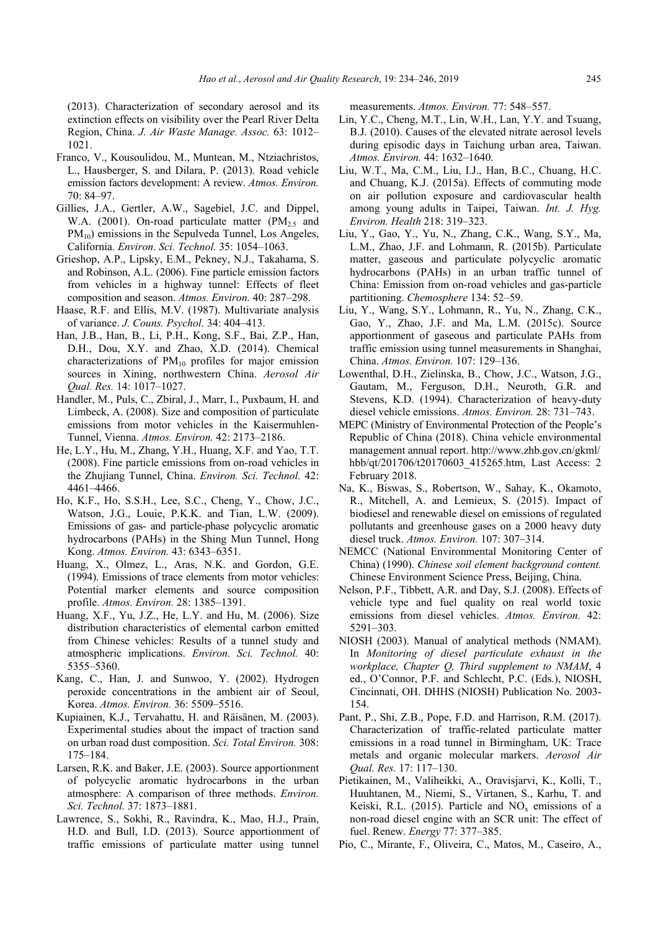(2013). Characterization of secondary aerosol and its extinction effects on visibility over the Pearl River Delta Region, China. *J. Air Waste Manage. Assoc.* 63: 1012– 1021.

- Franco, V., Kousoulidou, M., Muntean, M., Ntziachristos, L., Hausberger, S. and Dilara, P. (2013). Road vehicle emission factors development: A review. *Atmos. Environ.*  70: 84–97.
- Gillies, J.A., Gertler, A.W., Sagebiel, J.C. and Dippel, W.A. (2001). On-road particulate matter  $(PM_{2.5}$  and PM<sub>10</sub>) emissions in the Sepulveda Tunnel, Los Angeles, California. *Environ. Sci. Technol.* 35: 1054–1063.
- Grieshop, A.P., Lipsky, E.M., Pekney, N.J., Takahama, S. and Robinson, A.L. (2006). Fine particle emission factors from vehicles in a highway tunnel: Effects of fleet composition and season. *Atmos. Environ.* 40: 287–298.
- Haase, R.F. and Ellis, M.V. (1987). Multivariate analysis of variance. *J. Couns. Psychol.* 34: 404–413.
- Han, J.B., Han, B., Li, P.H., Kong, S.F., Bai, Z.P., Han, D.H., Dou, X.Y. and Zhao, X.D. (2014). Chemical characterizations of  $PM_{10}$  profiles for major emission sources in Xining, northwestern China. *Aerosol Air Qual. Res.* 14: 1017–1027.
- Handler, M., Puls, C., Zbiral, J., Marr, I., Puxbaum, H. and Limbeck, A. (2008). Size and composition of particulate emissions from motor vehicles in the Kaisermuhlen-Tunnel, Vienna. *Atmos. Environ.* 42: 2173–2186.
- He, L.Y., Hu, M., Zhang, Y.H., Huang, X.F. and Yao, T.T. (2008). Fine particle emissions from on-road vehicles in the Zhujiang Tunnel, China. *Environ. Sci. Technol.* 42: 4461–4466.
- Ho, K.F., Ho, S.S.H., Lee, S.C., Cheng, Y., Chow, J.C., Watson, J.G., Louie, P.K.K. and Tian, L.W. (2009). Emissions of gas- and particle-phase polycyclic aromatic hydrocarbons (PAHs) in the Shing Mun Tunnel, Hong Kong. *Atmos. Environ.* 43: 6343–6351.
- Huang, X., Olmez, L., Aras, N.K. and Gordon, G.E. (1994). Emissions of trace elements from motor vehicles: Potential marker elements and source composition profile. *Atmos. Environ.* 28: 1385–1391.
- Huang, X.F., Yu, J.Z., He, L.Y. and Hu, M. (2006). Size distribution characteristics of elemental carbon emitted from Chinese vehicles: Results of a tunnel study and atmospheric implications. *Environ. Sci. Technol.* 40: 5355–5360.
- Kang, C., Han, J. and Sunwoo, Y. (2002). Hydrogen peroxide concentrations in the ambient air of Seoul, Korea. *Atmos. Environ.* 36: 5509–5516.
- Kupiainen, K.J., Tervahattu, H. and Räisänen, M. (2003). Experimental studies about the impact of traction sand on urban road dust composition. *Sci. Total Environ.* 308: 175–184.
- Larsen, R.K. and Baker, J.E. (2003). Source apportionment of polycyclic aromatic hydrocarbons in the urban atmosphere: A comparison of three methods. *Environ. Sci. Technol.* 37: 1873–1881.
- Lawrence, S., Sokhi, R., Ravindra, K., Mao, H.J., Prain, H.D. and Bull, I.D. (2013). Source apportionment of traffic emissions of particulate matter using tunnel

measurements. *Atmos. Environ.* 77: 548–557.

- Lin, Y.C., Cheng, M.T., Lin, W.H., Lan, Y.Y. and Tsuang, B.J. (2010). Causes of the elevated nitrate aerosol levels during episodic days in Taichung urban area, Taiwan. *Atmos. Environ.* 44: 1632–1640.
- Liu, W.T., Ma, C.M., Liu, I.J., Han, B.C., Chuang, H.C. and Chuang, K.J. (2015a). Effects of commuting mode on air pollution exposure and cardiovascular health among young adults in Taipei, Taiwan. *Int. J. Hyg. Environ. Health* 218: 319–323.
- Liu, Y., Gao, Y., Yu, N., Zhang, C.K., Wang, S.Y., Ma, L.M., Zhao, J.F. and Lohmann, R. (2015b). Particulate matter, gaseous and particulate polycyclic aromatic hydrocarbons (PAHs) in an urban traffic tunnel of China: Emission from on-road vehicles and gas-particle partitioning. *Chemosphere* 134: 52–59.
- Liu, Y., Wang, S.Y., Lohmann, R., Yu, N., Zhang, C.K., Gao, Y., Zhao, J.F. and Ma, L.M. (2015c). Source apportionment of gaseous and particulate PAHs from traffic emission using tunnel measurements in Shanghai, China. *Atmos. Environ.* 107: 129–136.
- Lowenthal, D.H., Zielinska, B., Chow, J.C., Watson, J.G., Gautam, M., Ferguson, D.H., Neuroth, G.R. and Stevens, K.D. (1994). Characterization of heavy-duty diesel vehicle emissions. *Atmos. Environ.* 28: 731–743.
- MEPC (Ministry of Environmental Protection of the People's Republic of China (2018). China vehicle environmental management annual report. http://www.zhb.gov.cn/gkml/ hbb/qt/201706/t20170603\_415265.htm, Last Access: 2 February 2018.
- Na, K., Biswas, S., Robertson, W., Sahay, K., Okamoto, R., Mitchell, A. and Lemieux, S. (2015). Impact of biodiesel and renewable diesel on emissions of regulated pollutants and greenhouse gases on a 2000 heavy duty diesel truck. *Atmos. Environ.* 107: 307–314.
- NEMCC (National Environmental Monitoring Center of China) (1990). *Chinese soil element background content.* Chinese Environment Science Press, Beijing, China.
- Nelson, P.F., Tibbett, A.R. and Day, S.J. (2008). Effects of vehicle type and fuel quality on real world toxic emissions from diesel vehicles. *Atmos. Environ.* 42: 5291–303.
- NIOSH (2003). Manual of analytical methods (NMAM). In *Monitoring of diesel particulate exhaust in the workplace, Chapter Q, Third supplement to NMAM*, 4 ed., O'Connor, P.F. and Schlecht, P.C. (Eds.), NIOSH, Cincinnati, OH. DHHS (NIOSH) Publication No. 2003- 154.
- Pant, P., Shi, Z.B., Pope, F.D. and Harrison, R.M. (2017). Characterization of traffic-related particulate matter emissions in a road tunnel in Birmingham, UK: Trace metals and organic molecular markers. *Aerosol Air Qual. Res.* 17: 117–130.
- Pietikainen, M., Valiheikki, A., Oravisjarvi, K., Kolli, T., Huuhtanen, M., Niemi, S., Virtanen, S., Karhu, T. and Keiski, R.L. (2015). Particle and  $NO<sub>x</sub>$  emissions of a non-road diesel engine with an SCR unit: The effect of fuel. Renew. *Energy* 77: 377–385.
- Pio, C., Mirante, F., Oliveira, C., Matos, M., Caseiro, A.,